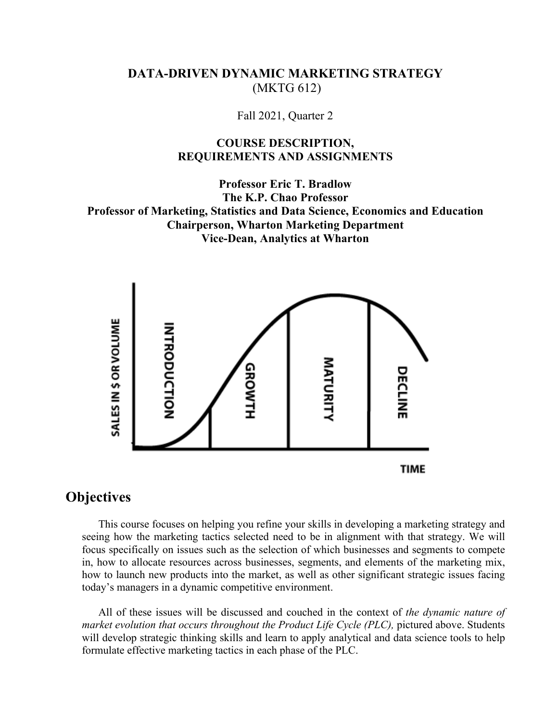## **DATA-DRIVEN DYNAMIC MARKETING STRATEGY** (MKTG 612)

Fall 2021, Quarter 2

### **COURSE DESCRIPTION, REQUIREMENTS AND ASSIGNMENTS**

**Professor Eric T. Bradlow The K.P. Chao Professor Professor of Marketing, Statistics and Data Science, Economics and Education Chairperson, Wharton Marketing Department Vice-Dean, Analytics at Wharton**



# **Objectives**

This course focuses on helping you refine your skills in developing a marketing strategy and seeing how the marketing tactics selected need to be in alignment with that strategy. We will focus specifically on issues such as the selection of which businesses and segments to compete in, how to allocate resources across businesses, segments, and elements of the marketing mix, how to launch new products into the market, as well as other significant strategic issues facing today's managers in a dynamic competitive environment.

All of these issues will be discussed and couched in the context of *the dynamic nature of market evolution that occurs throughout the Product Life Cycle (PLC),* pictured above. Students will develop strategic thinking skills and learn to apply analytical and data science tools to help formulate effective marketing tactics in each phase of the PLC.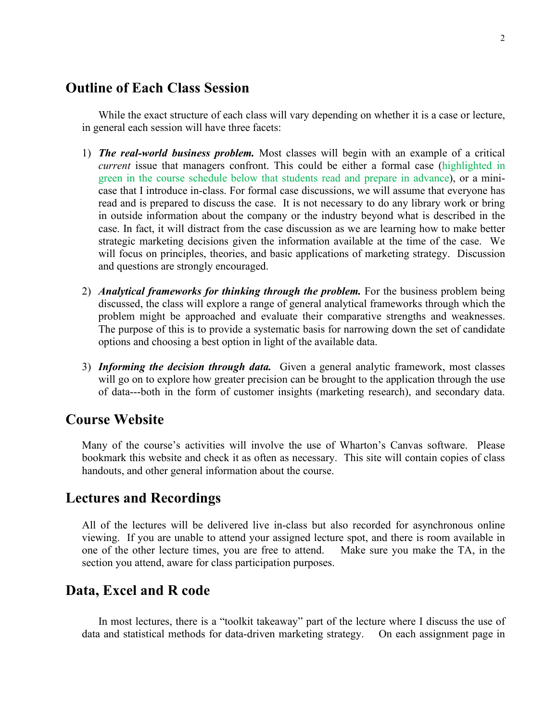# **Outline of Each Class Session**

While the exact structure of each class will vary depending on whether it is a case or lecture, in general each session will have three facets:

- 1) *The real-world business problem.* Most classes will begin with an example of a critical *current* issue that managers confront. This could be either a formal case (highlighted in green in the course schedule below that students read and prepare in advance), or a minicase that I introduce in-class. For formal case discussions, we will assume that everyone has read and is prepared to discuss the case. It is not necessary to do any library work or bring in outside information about the company or the industry beyond what is described in the case. In fact, it will distract from the case discussion as we are learning how to make better strategic marketing decisions given the information available at the time of the case. We will focus on principles, theories, and basic applications of marketing strategy. Discussion and questions are strongly encouraged.
- 2) *Analytical frameworks for thinking through the problem.* For the business problem being discussed, the class will explore a range of general analytical frameworks through which the problem might be approached and evaluate their comparative strengths and weaknesses. The purpose of this is to provide a systematic basis for narrowing down the set of candidate options and choosing a best option in light of the available data.
- 3) *Informing the decision through data.* Given a general analytic framework, most classes will go on to explore how greater precision can be brought to the application through the use of data---both in the form of customer insights (marketing research), and secondary data.

## **Course Website**

Many of the course's activities will involve the use of Wharton's Canvas software. Please bookmark this website and check it as often as necessary. This site will contain copies of class handouts, and other general information about the course.

## **Lectures and Recordings**

All of the lectures will be delivered live in-class but also recorded for asynchronous online viewing. If you are unable to attend your assigned lecture spot, and there is room available in one of the other lecture times, you are free to attend. Make sure you make the TA, in the section you attend, aware for class participation purposes.

## **Data, Excel and R code**

In most lectures, there is a "toolkit takeaway" part of the lecture where I discuss the use of data and statistical methods for data-driven marketing strategy. On each assignment page in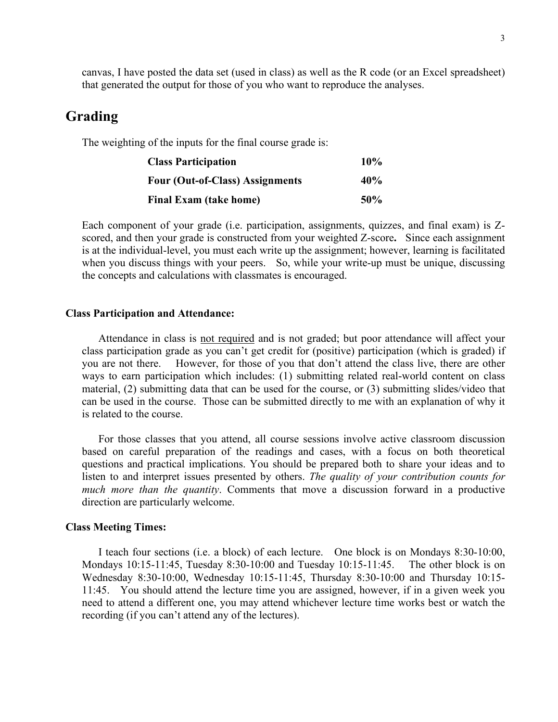canvas, I have posted the data set (used in class) as well as the R code (or an Excel spreadsheet) that generated the output for those of you who want to reproduce the analyses.

## **Grading**

The weighting of the inputs for the final course grade is:

| <b>Class Participation</b>      | 10%    |
|---------------------------------|--------|
| Four (Out-of-Class) Assignments | 40%    |
| <b>Final Exam (take home)</b>   | $50\%$ |

Each component of your grade (i.e. participation, assignments, quizzes, and final exam) is Zscored, and then your grade is constructed from your weighted Z-score**.** Since each assignment is at the individual-level, you must each write up the assignment; however, learning is facilitated when you discuss things with your peers. So, while your write-up must be unique, discussing the concepts and calculations with classmates is encouraged.

#### **Class Participation and Attendance:**

Attendance in class is not required and is not graded; but poor attendance will affect your class participation grade as you can't get credit for (positive) participation (which is graded) if you are not there. However, for those of you that don't attend the class live, there are other ways to earn participation which includes: (1) submitting related real-world content on class material, (2) submitting data that can be used for the course, or (3) submitting slides/video that can be used in the course. Those can be submitted directly to me with an explanation of why it is related to the course.

For those classes that you attend, all course sessions involve active classroom discussion based on careful preparation of the readings and cases, with a focus on both theoretical questions and practical implications. You should be prepared both to share your ideas and to listen to and interpret issues presented by others. *The quality of your contribution counts for much more than the quantity*. Comments that move a discussion forward in a productive direction are particularly welcome.

#### **Class Meeting Times:**

I teach four sections (i.e. a block) of each lecture. One block is on Mondays 8:30-10:00, Mondays 10:15-11:45, Tuesday 8:30-10:00 and Tuesday 10:15-11:45. The other block is on Wednesday 8:30-10:00, Wednesday 10:15-11:45, Thursday 8:30-10:00 and Thursday 10:15- 11:45. You should attend the lecture time you are assigned, however, if in a given week you need to attend a different one, you may attend whichever lecture time works best or watch the recording (if you can't attend any of the lectures).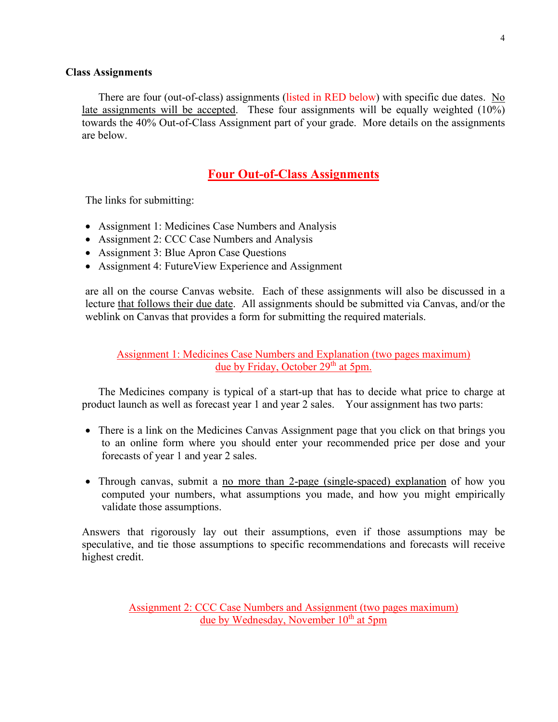#### **Class Assignments**

There are four (out-of-class) assignments (listed in RED below) with specific due dates. No late assignments will be accepted. These four assignments will be equally weighted (10%) towards the 40% Out-of-Class Assignment part of your grade. More details on the assignments are below.

## **Four Out-of-Class Assignments**

The links for submitting:

- Assignment 1: Medicines Case Numbers and Analysis
- Assignment 2: CCC Case Numbers and Analysis
- Assignment 3: Blue Apron Case Questions
- Assignment 4: FutureView Experience and Assignment

are all on the course Canvas website. Each of these assignments will also be discussed in a lecture that follows their due date. All assignments should be submitted via Canvas, and/or the weblink on Canvas that provides a form for submitting the required materials.

Assignment 1: Medicines Case Numbers and Explanation (two pages maximum) due by Friday, October  $29<sup>th</sup>$  at 5pm.

The Medicines company is typical of a start-up that has to decide what price to charge at product launch as well as forecast year 1 and year 2 sales. Your assignment has two parts:

- There is a link on the Medicines Canvas Assignment page that you click on that brings you to an online form where you should enter your recommended price per dose and your forecasts of year 1 and year 2 sales.
- Through canvas, submit a no more than 2-page (single-spaced) explanation of how you computed your numbers, what assumptions you made, and how you might empirically validate those assumptions.

Answers that rigorously lay out their assumptions, even if those assumptions may be speculative, and tie those assumptions to specific recommendations and forecasts will receive highest credit.

> Assignment 2: CCC Case Numbers and Assignment (two pages maximum) due by Wednesday, November  $10<sup>th</sup>$  at 5pm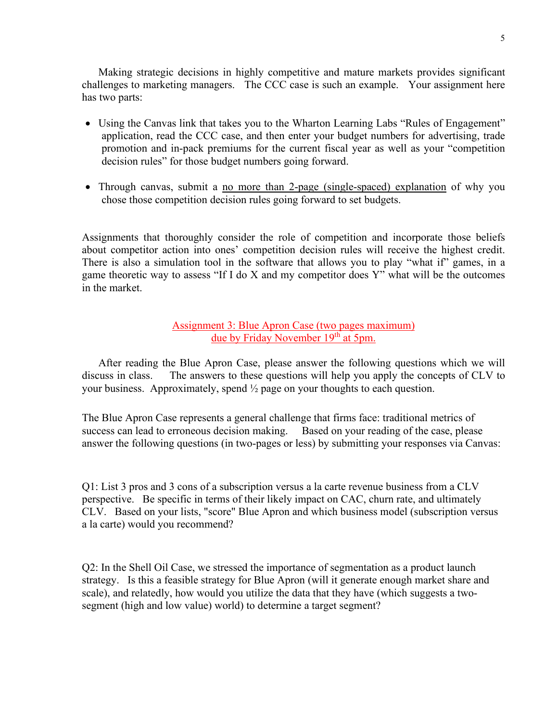Making strategic decisions in highly competitive and mature markets provides significant challenges to marketing managers. The CCC case is such an example. Your assignment here has two parts:

- Using the Canvas link that takes you to the Wharton Learning Labs "Rules of Engagement" application, read the CCC case, and then enter your budget numbers for advertising, trade promotion and in-pack premiums for the current fiscal year as well as your "competition decision rules" for those budget numbers going forward.
- Through canvas, submit a no more than 2-page (single-spaced) explanation of why you chose those competition decision rules going forward to set budgets.

Assignments that thoroughly consider the role of competition and incorporate those beliefs about competitor action into ones' competition decision rules will receive the highest credit. There is also a simulation tool in the software that allows you to play "what if" games, in a game theoretic way to assess "If I do X and my competitor does Y" what will be the outcomes in the market.

### Assignment 3: Blue Apron Case (two pages maximum) due by Friday November 19<sup>th</sup> at 5pm.

After reading the Blue Apron Case, please answer the following questions which we will discuss in class. The answers to these questions will help you apply the concepts of CLV to your business. Approximately, spend  $\frac{1}{2}$  page on your thoughts to each question.

The Blue Apron Case represents a general challenge that firms face: traditional metrics of success can lead to erroneous decision making. Based on your reading of the case, please answer the following questions (in two-pages or less) by submitting your responses via Canvas:

Q1: List 3 pros and 3 cons of a subscription versus a la carte revenue business from a CLV perspective. Be specific in terms of their likely impact on CAC, churn rate, and ultimately CLV. Based on your lists, "score" Blue Apron and which business model (subscription versus a la carte) would you recommend?

Q2: In the Shell Oil Case, we stressed the importance of segmentation as a product launch strategy. Is this a feasible strategy for Blue Apron (will it generate enough market share and scale), and relatedly, how would you utilize the data that they have (which suggests a twosegment (high and low value) world) to determine a target segment?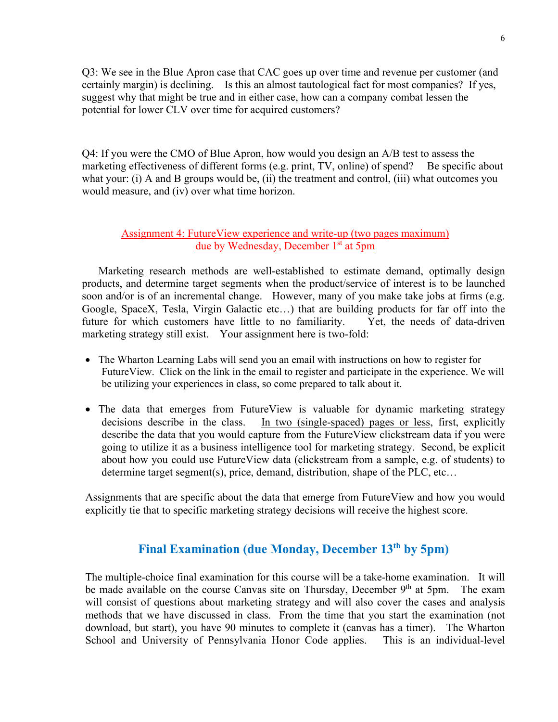Q3: We see in the Blue Apron case that CAC goes up over time and revenue per customer (and certainly margin) is declining. Is this an almost tautological fact for most companies? If yes, suggest why that might be true and in either case, how can a company combat lessen the potential for lower CLV over time for acquired customers?

Q4: If you were the CMO of Blue Apron, how would you design an A/B test to assess the marketing effectiveness of different forms (e.g. print, TV, online) of spend? Be specific about what your: (i) A and B groups would be, (ii) the treatment and control, (iii) what outcomes you would measure, and (iv) over what time horizon.

### Assignment 4: FutureView experience and write-up (two pages maximum) due by Wednesday, December 1<sup>st</sup> at 5pm

Marketing research methods are well-established to estimate demand, optimally design products, and determine target segments when the product/service of interest is to be launched soon and/or is of an incremental change. However, many of you make take jobs at firms (e.g. Google, SpaceX, Tesla, Virgin Galactic etc…) that are building products for far off into the future for which customers have little to no familiarity. Yet, the needs of data-driven marketing strategy still exist. Your assignment here is two-fold:

- The Wharton Learning Labs will send you an email with instructions on how to register for FutureView. Click on the link in the email to register and participate in the experience. We will be utilizing your experiences in class, so come prepared to talk about it.
- The data that emerges from FutureView is valuable for dynamic marketing strategy decisions describe in the class. In two (single-spaced) pages or less, first, explicitly describe the data that you would capture from the FutureView clickstream data if you were going to utilize it as a business intelligence tool for marketing strategy. Second, be explicit about how you could use FutureView data (clickstream from a sample, e.g. of students) to determine target segment(s), price, demand, distribution, shape of the PLC, etc…

Assignments that are specific about the data that emerge from FutureView and how you would explicitly tie that to specific marketing strategy decisions will receive the highest score.

# **Final Examination (due Monday, December 13th by 5pm)**

The multiple-choice final examination for this course will be a take-home examination. It will be made available on the course Canvas site on Thursday, December  $9<sup>th</sup>$  at 5pm. The exam will consist of questions about marketing strategy and will also cover the cases and analysis methods that we have discussed in class. From the time that you start the examination (not download, but start), you have 90 minutes to complete it (canvas has a timer). The Wharton School and University of Pennsylvania Honor Code applies. This is an individual-level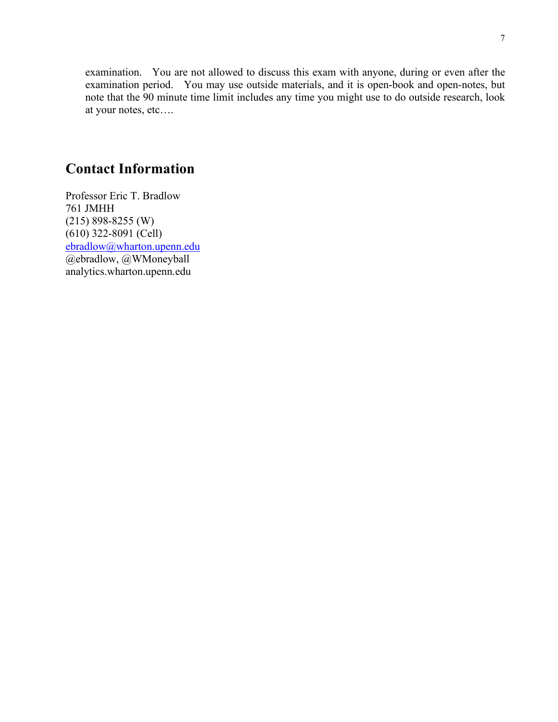examination. You are not allowed to discuss this exam with anyone, during or even after the examination period. You may use outside materials, and it is open-book and open-notes, but note that the 90 minute time limit includes any time you might use to do outside research, look at your notes, etc….

# **Contact Information**

Professor Eric T. Bradlow 761 JMHH (215) 898-8255 (W) (610) 322-8091 (Cell) [ebradlow@wharton.upenn.edu](mailto:ebradlow@wharton.upenn.edu) @ebradlow, @WMoneyball analytics.wharton.upenn.edu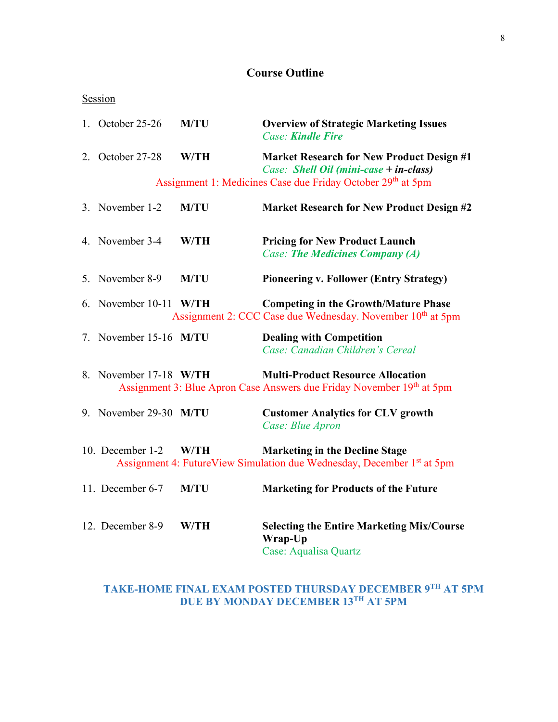# **Course Outline**

## Session

|    | 1. October 25-26       | <b>M/TU</b> | <b>Overview of Strategic Marketing Issues</b><br><b>Case: Kindle Fire</b>                                                   |
|----|------------------------|-------------|-----------------------------------------------------------------------------------------------------------------------------|
|    | 2. October 27-28       | <b>W/TH</b> | <b>Market Research for New Product Design #1</b><br>Case: Shell Oil (mini-case + in-class)                                  |
|    |                        |             | Assignment 1: Medicines Case due Friday October 29 <sup>th</sup> at 5pm                                                     |
|    | 3. November 1-2        | <b>M/TU</b> | <b>Market Research for New Product Design #2</b>                                                                            |
|    | 4. November 3-4        | W/TH        | <b>Pricing for New Product Launch</b><br><b>Case: The Medicines Company (A)</b>                                             |
| 5. | November 8-9           | <b>M/TU</b> | <b>Pioneering v. Follower (Entry Strategy)</b>                                                                              |
| 6. | November 10-11 W/TH    |             | <b>Competing in the Growth/Mature Phase</b><br>Assignment 2: CCC Case due Wednesday. November 10 <sup>th</sup> at 5pm       |
|    | 7. November 15-16 M/TU |             | <b>Dealing with Competition</b><br>Case: Canadian Children's Cereal                                                         |
|    | 8. November 17-18 W/TH |             | <b>Multi-Product Resource Allocation</b><br>Assignment 3: Blue Apron Case Answers due Friday November 19th at 5pm           |
|    | 9. November 29-30 M/TU |             | <b>Customer Analytics for CLV growth</b><br>Case: Blue Apron                                                                |
|    | 10. December 1-2       | W/TH        | <b>Marketing in the Decline Stage</b><br>Assignment 4: FutureView Simulation due Wednesday, December 1 <sup>st</sup> at 5pm |
|    | 11. December 6-7       | <b>M/TU</b> | <b>Marketing for Products of the Future</b>                                                                                 |
|    | 12. December 8-9       | W/TH        | <b>Selecting the Entire Marketing Mix/Course</b><br>Wrap-Up<br>Case: Aqualisa Quartz                                        |

### **TAKE-HOME FINAL EXAM POSTED THURSDAY DECEMBER 9TH AT 5PM DUE BY MONDAY DECEMBER 13TH AT 5PM**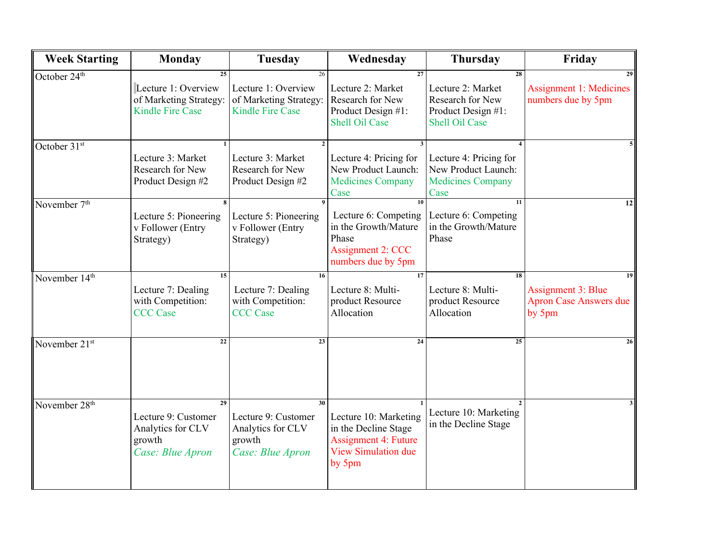| <b>Week Starting</b>      | <b>Monday</b>                                                                  | Tuesday                                                                        | Wednesday                                                                                                            | <b>Thursday</b>                                                                            | Friday                                                                     |
|---------------------------|--------------------------------------------------------------------------------|--------------------------------------------------------------------------------|----------------------------------------------------------------------------------------------------------------------|--------------------------------------------------------------------------------------------|----------------------------------------------------------------------------|
| October 24 <sup>th</sup>  | 25<br>Lecture 1: Overview<br>of Marketing Strategy:<br><b>Kindle Fire Case</b> | 26<br>Lecture 1: Overview<br>of Marketing Strategy:<br><b>Kindle Fire Case</b> | 27<br>Lecture 2: Market<br>Research for New<br>Product Design #1:<br><b>Shell Oil Case</b>                           | 28<br>Lecture 2: Market<br>Research for New<br>Product Design #1:<br><b>Shell Oil Case</b> | 29<br><b>Assignment 1: Medicines</b><br>numbers due by 5pm                 |
| October 31 <sup>st</sup>  | Lecture 3: Market<br>Research for New<br>Product Design #2                     | Lecture 3: Market<br>Research for New<br>Product Design #2                     | Lecture 4: Pricing for<br>New Product Launch:<br><b>Medicines Company</b><br>Case                                    | Lecture 4: Pricing for<br>New Product Launch:<br><b>Medicines Company</b><br>Case          |                                                                            |
| November 7 <sup>th</sup>  | Lecture 5: Pioneering<br>v Follower (Entry<br>Strategy)                        | Lecture 5: Pioneering<br>v Follower (Entry<br>Strategy)                        | 10<br>Lecture 6: Competing<br>in the Growth/Mature<br>Phase<br>Assignment 2: CCC<br>numbers due by 5pm               | 11<br>Lecture 6: Competing<br>in the Growth/Mature<br>Phase                                | 12                                                                         |
| November 14 <sup>th</sup> | 15<br>Lecture 7: Dealing<br>with Competition:<br><b>CCC</b> Case               | $\overline{16}$<br>Lecture 7: Dealing<br>with Competition:<br><b>CCC</b> Case  | 17<br>Lecture 8: Multi-<br>product Resource<br>Allocation                                                            | $\overline{18}$<br>Lecture 8: Multi-<br>product Resource<br>Allocation                     | 19<br><b>Assignment 3: Blue</b><br><b>Apron Case Answers due</b><br>by 5pm |
| November 21 <sup>st</sup> | 22                                                                             | 23                                                                             | 24                                                                                                                   | 25                                                                                         | 26                                                                         |
| November 28 <sup>th</sup> | 29<br>Lecture 9: Customer<br>Analytics for CLV<br>growth<br>Case: Blue Apron   | 30<br>Lecture 9: Customer<br>Analytics for CLV<br>growth<br>Case: Blue Apron   | Lecture 10: Marketing<br>in the Decline Stage<br><b>Assignment 4: Future</b><br><b>View Simulation due</b><br>by 5pm | Lecture 10: Marketing<br>in the Decline Stage                                              | 3                                                                          |